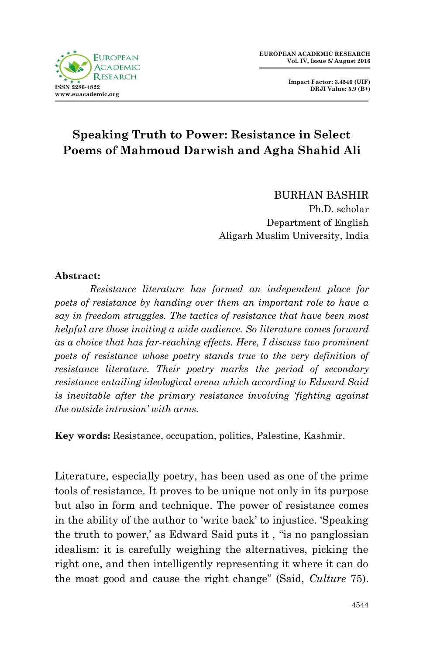

**Impact Factor: 3.4546 (UIF) DRJI Value: 5.9 (B+)**

## **Speaking Truth to Power: Resistance in Select Poems of Mahmoud Darwish and Agha Shahid Ali**

BURHAN BASHIR Ph.D. scholar Department of English Aligarh Muslim University, India

## **Abstract:**

*Resistance literature has formed an independent place for poets of resistance by handing over them an important role to have a say in freedom struggles. The tactics of resistance that have been most helpful are those inviting a wide audience. So literature comes forward as a choice that has far-reaching effects. Here, I discuss two prominent poets of resistance whose poetry stands true to the very definition of resistance literature. Their poetry marks the period of secondary resistance entailing ideological arena which according to Edward Said is inevitable after the primary resistance involving 'fighting against the outside intrusion' with arms.*

**Key words:** Resistance, occupation, politics, Palestine, Kashmir.

Literature, especially poetry, has been used as one of the prime tools of resistance. It proves to be unique not only in its purpose but also in form and technique. The power of resistance comes in the ability of the author to 'write back' to injustice. 'Speaking' the truth to power,' as Edward Said puts it, "is no panglossian" idealism: it is carefully weighing the alternatives, picking the right one, and then intelligently representing it where it can do the most good and cause the right change‖ (Said, *Culture* 75).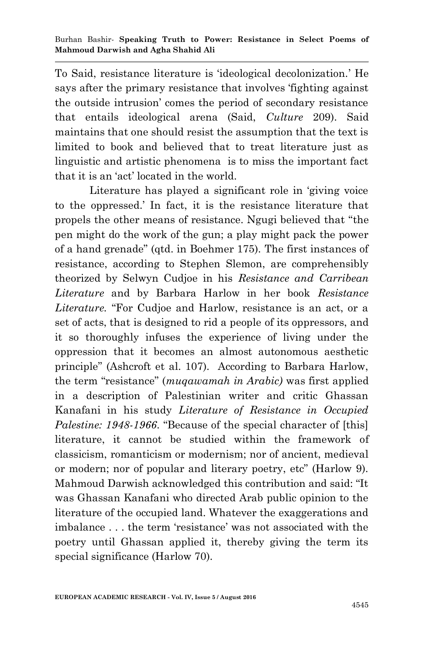To Said, resistance literature is ‗ideological decolonization.' He says after the primary resistance that involves 'fighting against the outside intrusion' comes the period of secondary resistance that entails ideological arena (Said, *Culture* 209). Said maintains that one should resist the assumption that the text is limited to book and believed that to treat literature just as linguistic and artistic phenomena is to miss the important fact that it is an 'act' located in the world.

Literature has played a significant role in 'giving voice to the oppressed.' In fact, it is the resistance literature that propels the other means of resistance. Ngugi believed that "the pen might do the work of the gun; a play might pack the power of a hand grenade‖ (qtd. in Boehmer 175). The first instances of resistance, according to Stephen Slemon, are comprehensibly theorized by Selwyn Cudjoe in his *Resistance and Carribean Literature* and by Barbara Harlow in her book *Resistance*  Literature. "For Cudjoe and Harlow, resistance is an act, or a set of acts, that is designed to rid a people of its oppressors, and it so thoroughly infuses the experience of living under the oppression that it becomes an almost autonomous aesthetic principle" (Ashcroft et al. 107). According to Barbara Harlow, the term ―resistance‖ (*muqawamah in Arabic)* was first applied in a description of Palestinian writer and critic Ghassan Kanafani in his study *Literature of Resistance in Occupied Palestine: 1948-1966.* "Because of the special character of [this] literature, it cannot be studied within the framework of classicism, romanticism or modernism; nor of ancient, medieval or modern; nor of popular and literary poetry, etc" (Harlow 9). Mahmoud Darwish acknowledged this contribution and said: "It was Ghassan Kanafani who directed Arab public opinion to the literature of the occupied land. Whatever the exaggerations and imbalance . . . the term 'resistance' was not associated with the poetry until Ghassan applied it, thereby giving the term its special significance (Harlow 70).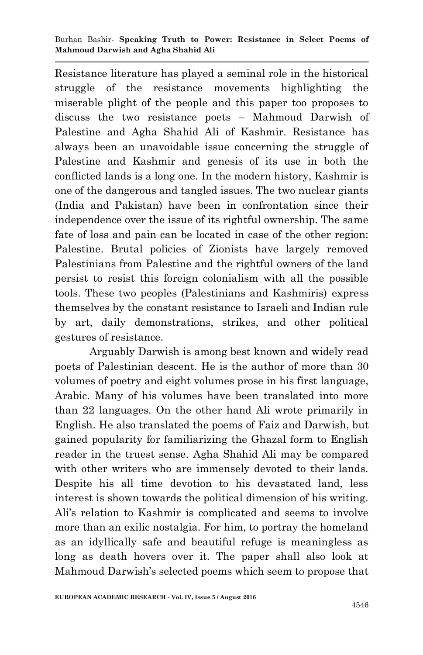Burhan Bashir*-* **Speaking Truth to Power: Resistance in Select Poems of Mahmoud Darwish and Agha Shahid Ali**

Resistance literature has played a seminal role in the historical struggle of the resistance movements highlighting the miserable plight of the people and this paper too proposes to discuss the two resistance poets – Mahmoud Darwish of Palestine and Agha Shahid Ali of Kashmir. Resistance has always been an unavoidable issue concerning the struggle of Palestine and Kashmir and genesis of its use in both the conflicted lands is a long one. In the modern history, Kashmir is one of the dangerous and tangled issues. The two nuclear giants (India and Pakistan) have been in confrontation since their independence over the issue of its rightful ownership. The same fate of loss and pain can be located in case of the other region: Palestine. Brutal policies of Zionists have largely removed Palestinians from Palestine and the rightful owners of the land persist to resist this foreign colonialism with all the possible tools. These two peoples (Palestinians and Kashmiris) express themselves by the constant resistance to Israeli and Indian rule by art, daily demonstrations, strikes, and other political gestures of resistance.

Arguably Darwish is among best known and widely read poets of Palestinian descent. He is the author of more than 30 volumes of poetry and eight volumes prose in his first language, Arabic. Many of his volumes have been translated into more than 22 languages. On the other hand Ali wrote primarily in English. He also translated the poems of Faiz and Darwish, but gained popularity for familiarizing the Ghazal form to English reader in the truest sense. Agha Shahid Ali may be compared with other writers who are immensely devoted to their lands. Despite his all time devotion to his devastated land, less interest is shown towards the political dimension of his writing. Ali's relation to Kashmir is complicated and seems to involve more than an exilic nostalgia. For him, to portray the homeland as an idyllically safe and beautiful refuge is meaningless as long as death hovers over it. The paper shall also look at Mahmoud Darwish's selected poems which seem to propose that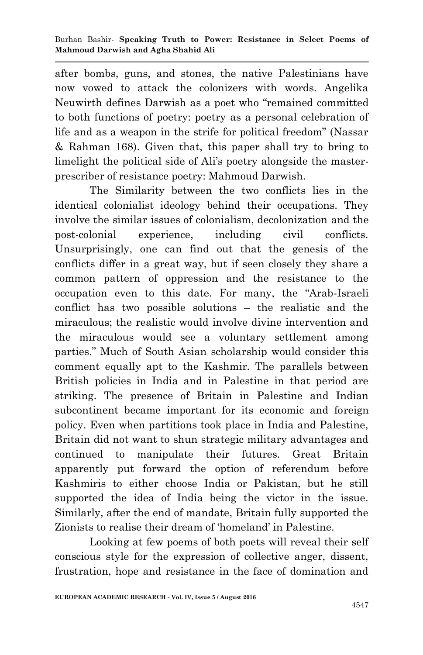after bombs, guns, and stones, the native Palestinians have now vowed to attack the colonizers with words. Angelika Neuwirth defines Darwish as a poet who "remained committed" to both functions of poetry: poetry as a personal celebration of life and as a weapon in the strife for political freedom" (Nassar & Rahman 168). Given that, this paper shall try to bring to limelight the political side of Ali's poetry alongside the masterprescriber of resistance poetry: Mahmoud Darwish.

The Similarity between the two conflicts lies in the identical colonialist ideology behind their occupations. They involve the similar issues of colonialism, decolonization and the post-colonial experience, including civil conflicts. Unsurprisingly, one can find out that the genesis of the conflicts differ in a great way, but if seen closely they share a common pattern of oppression and the resistance to the occupation even to this date. For many, the "Arab-Israeli conflict has two possible solutions – the realistic and the miraculous; the realistic would involve divine intervention and the miraculous would see a voluntary settlement among parties." Much of South Asian scholarship would consider this comment equally apt to the Kashmir. The parallels between British policies in India and in Palestine in that period are striking. The presence of Britain in Palestine and Indian subcontinent became important for its economic and foreign policy. Even when partitions took place in India and Palestine, Britain did not want to shun strategic military advantages and continued to manipulate their futures. Great Britain apparently put forward the option of referendum before Kashmiris to either choose India or Pakistan, but he still supported the idea of India being the victor in the issue. Similarly, after the end of mandate, Britain fully supported the Zionists to realise their dream of 'homeland' in Palestine.

Looking at few poems of both poets will reveal their self conscious style for the expression of collective anger, dissent, frustration, hope and resistance in the face of domination and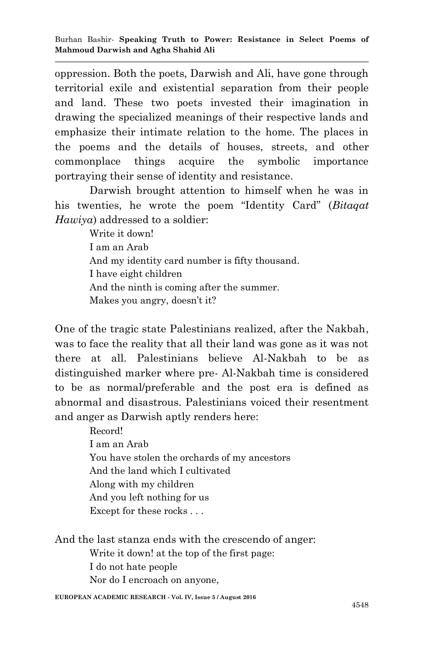oppression. Both the poets, Darwish and Ali, have gone through territorial exile and existential separation from their people and land. These two poets invested their imagination in drawing the specialized meanings of their respective lands and emphasize their intimate relation to the home. The places in the poems and the details of houses, streets, and other commonplace things acquire the symbolic importance portraying their sense of identity and resistance.

Darwish brought attention to himself when he was in his twenties, he wrote the poem "Identity Card" (*Bitaqat Hawiya*) addressed to a soldier:

> Write it down! I am an Arab And my identity card number is fifty thousand. I have eight children And the ninth is coming after the summer. Makes you angry, doesn't it?

One of the tragic state Palestinians realized, after the Nakbah, was to face the reality that all their land was gone as it was not there at all. Palestinians believe Al-Nakbah to be as distinguished marker where pre- Al-Nakbah time is considered to be as normal/preferable and the post era is defined as abnormal and disastrous. Palestinians voiced their resentment and anger as Darwish aptly renders here:

> Record! I am an Arab You have stolen the orchards of my ancestors And the land which I cultivated Along with my children And you left nothing for us Except for these rocks . . .

And the last stanza ends with the crescendo of anger:

Write it down! at the top of the first page:

I do not hate people

Nor do I encroach on anyone,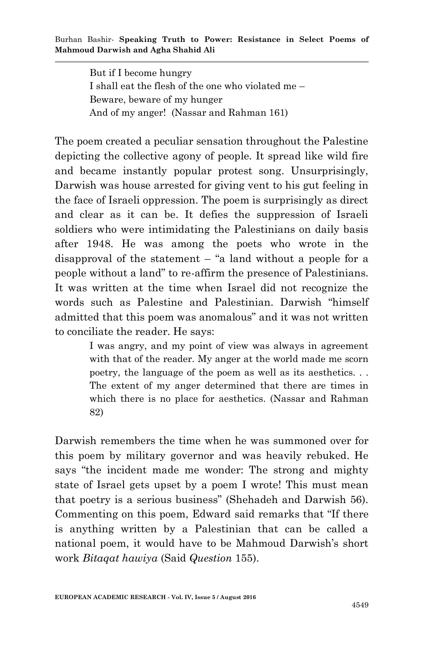But if I become hungry I shall eat the flesh of the one who violated me – Beware, beware of my hunger And of my anger! (Nassar and Rahman 161)

The poem created a peculiar sensation throughout the Palestine depicting the collective agony of people. It spread like wild fire and became instantly popular protest song. Unsurprisingly, Darwish was house arrested for giving vent to his gut feeling in the face of Israeli oppression. The poem is surprisingly as direct and clear as it can be. It defies the suppression of Israeli soldiers who were intimidating the Palestinians on daily basis after 1948. He was among the poets who wrote in the disapproval of the statement  $-$  "a land without a people for a people without a land" to re-affirm the presence of Palestinians. It was written at the time when Israel did not recognize the words such as Palestine and Palestinian. Darwish "himself" admitted that this poem was anomalous" and it was not written to conciliate the reader. He says:

> I was angry, and my point of view was always in agreement with that of the reader. My anger at the world made me scorn poetry, the language of the poem as well as its aesthetics. . . The extent of my anger determined that there are times in which there is no place for aesthetics. (Nassar and Rahman 82)

Darwish remembers the time when he was summoned over for this poem by military governor and was heavily rebuked. He says "the incident made me wonder: The strong and mighty state of Israel gets upset by a poem I wrote! This must mean that poetry is a serious business" (Shehadeh and Darwish 56). Commenting on this poem, Edward said remarks that "If there" is anything written by a Palestinian that can be called a national poem, it would have to be Mahmoud Darwish's short work *Bitaqat hawiya* (Said *Question* 155).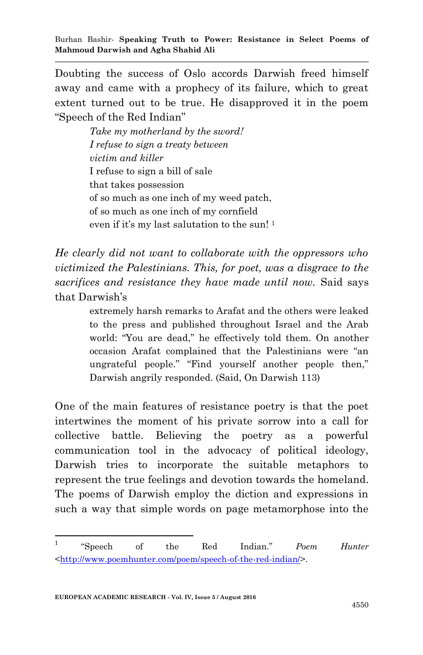Doubting the success of Oslo accords Darwish freed himself away and came with a prophecy of its failure, which to great extent turned out to be true. He disapproved it in the poem "Speech of the Red Indian"

> *Take my motherland by the sword! I refuse to sign a treaty between victim and killer*  I refuse to sign a bill of sale that takes possession of so much as one inch of my weed patch, of so much as one inch of my cornfield even if it's my last salutation to the sun! <sup>1</sup>

*He clearly did not want to collaborate with the oppressors who victimized the Palestinians. This, for poet, was a disgrace to the sacrifices and resistance they have made until now.* Said says that Darwish's

> extremely harsh remarks to Arafat and the others were leaked to the press and published throughout Israel and the Arab world: "You are dead," he effectively told them. On another occasion Arafat complained that the Palestinians were "an ungrateful people." "Find yourself another people then," Darwish angrily responded. (Said, On Darwish 113)

One of the main features of resistance poetry is that the poet intertwines the moment of his private sorrow into a call for collective battle. Believing the poetry as a powerful communication tool in the advocacy of political ideology, Darwish tries to incorporate the suitable metaphors to represent the true feelings and devotion towards the homeland. The poems of Darwish employ the diction and expressions in such a way that simple words on page metamorphose into the

 $\frac{1}{1}$ ―Speech of the Red Indian.‖ *Poem Hunter* [<http://www.poemhunter.com/poem/speech-of-the-red-indian/>](http://www.poemhunter.com/poem/speech-of-the-red-indian/).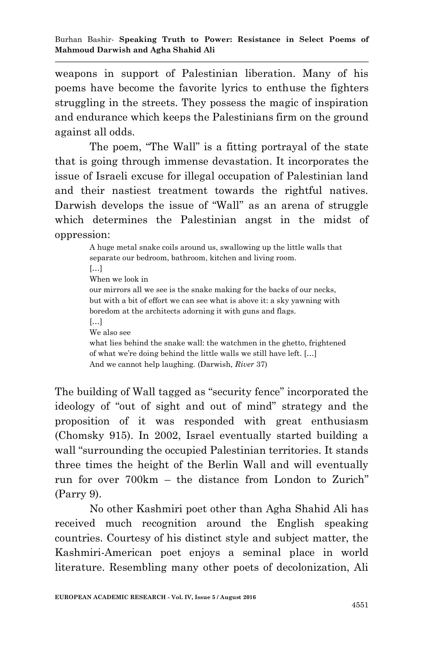weapons in support of Palestinian liberation. Many of his poems have become the favorite lyrics to enthuse the fighters struggling in the streets. They possess the magic of inspiration and endurance which keeps the Palestinians firm on the ground against all odds.

The poem, "The Wall" is a fitting portrayal of the state that is going through immense devastation. It incorporates the issue of Israeli excuse for illegal occupation of Palestinian land and their nastiest treatment towards the rightful natives. Darwish develops the issue of "Wall" as an arena of struggle which determines the Palestinian angst in the midst of oppression:

> A huge metal snake coils around us, swallowing up the little walls that separate our bedroom, bathroom, kitchen and living room.  $[...]$ When we look in our mirrors all we see is the snake making for the backs of our necks, but with a bit of effort we can see what is above it: a sky yawning with boredom at the architects adorning it with guns and flags. […] We also see what lies behind the snake wall: the watchmen in the ghetto, frightened of what we're doing behind the little walls we still have left. […] And we cannot help laughing. (Darwish, *River* 37)

The building of Wall tagged as "security fence" incorporated the ideology of "out of sight and out of mind" strategy and the proposition of it was responded with great enthusiasm (Chomsky 915). In 2002, Israel eventually started building a wall "surrounding the occupied Palestinian territories. It stands three times the height of the Berlin Wall and will eventually run for over 700km – the distance from London to Zurich" (Parry 9).

No other Kashmiri poet other than Agha Shahid Ali has received much recognition around the English speaking countries. Courtesy of his distinct style and subject matter, the Kashmiri-American poet enjoys a seminal place in world literature. Resembling many other poets of decolonization, Ali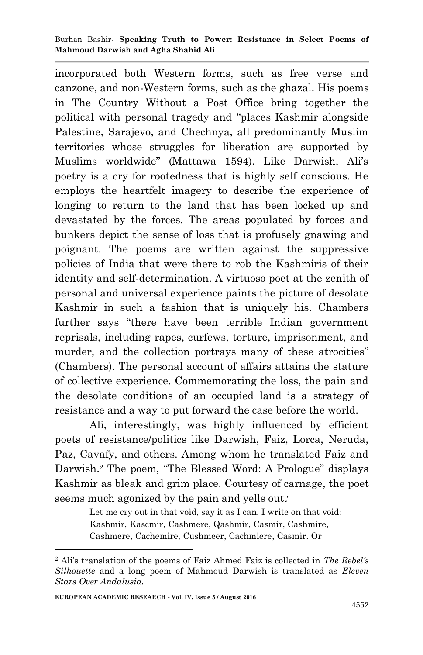incorporated both Western forms, such as free verse and canzone, and non-Western forms, such as the ghazal. His poems in The Country Without a Post Office bring together the political with personal tragedy and "places Kashmir alongside Palestine, Sarajevo, and Chechnya, all predominantly Muslim territories whose struggles for liberation are supported by Muslims worldwide‖ (Mattawa 1594). Like Darwish, Ali's poetry is a cry for rootedness that is highly self conscious. He employs the heartfelt imagery to describe the experience of longing to return to the land that has been locked up and devastated by the forces. The areas populated by forces and bunkers depict the sense of loss that is profusely gnawing and poignant. The poems are written against the suppressive policies of India that were there to rob the Kashmiris of their identity and self-determination. A virtuoso poet at the zenith of personal and universal experience paints the picture of desolate Kashmir in such a fashion that is uniquely his. Chambers further says "there have been terrible Indian government reprisals, including rapes, curfews, torture, imprisonment, and murder, and the collection portrays many of these atrocities" (Chambers). The personal account of affairs attains the stature of collective experience. Commemorating the loss, the pain and the desolate conditions of an occupied land is a strategy of resistance and a way to put forward the case before the world.

Ali, interestingly, was highly influenced by efficient poets of resistance/politics like Darwish, Faiz, Lorca, Neruda, Paz, Cavafy, and others. Among whom he translated Faiz and Darwish.<sup>2</sup> The poem, "The Blessed Word: A Prologue" displays Kashmir as bleak and grim place. Courtesy of carnage, the poet seems much agonized by the pain and yells out:

> Let me cry out in that void, say it as I can. I write on that void: Kashmir, Kascmir, Cashmere, Qashmir, Casmir, Cashmire, Cashmere, Cachemire, Cushmeer, Cachmiere, Casmir. Or

1

<sup>2</sup> Ali's translation of the poems of Faiz Ahmed Faiz is collected in *The Rebel's Silhouette* and a long poem of Mahmoud Darwish is translated as *Eleven Stars Over Andalusia.*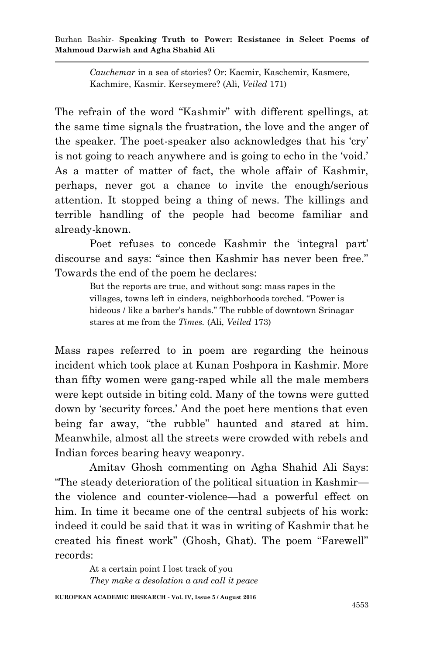Burhan Bashir*-* **Speaking Truth to Power: Resistance in Select Poems of Mahmoud Darwish and Agha Shahid Ali**

> *Cauchemar* in a sea of stories? Or: Kacmir, Kaschemir, Kasmere, Kachmire, Kasmir. Kerseymere? (Ali, *Veiled* 171)

The refrain of the word "Kashmir" with different spellings, at the same time signals the frustration, the love and the anger of the speaker. The poet-speaker also acknowledges that his 'cry' is not going to reach anywhere and is going to echo in the 'void.' As a matter of matter of fact, the whole affair of Kashmir, perhaps, never got a chance to invite the enough/serious attention. It stopped being a thing of news. The killings and terrible handling of the people had become familiar and already-known.

Poet refuses to concede Kashmir the 'integral part' discourse and says: "since then Kashmir has never been free." Towards the end of the poem he declares:

> But the reports are true, and without song: mass rapes in the villages, towns left in cinders, neighborhoods torched. ―Power is hideous / like a barber's hands." The rubble of downtown Srinagar stares at me from the *Times.* (Ali, *Veiled* 173)

Mass rapes referred to in poem are regarding the heinous incident which took place at Kunan Poshpora in Kashmir. More than fifty women were gang-raped while all the male members were kept outside in biting cold. Many of the towns were gutted down by 'security forces.' And the poet here mentions that even being far away, "the rubble" haunted and stared at him. Meanwhile, almost all the streets were crowded with rebels and Indian forces bearing heavy weaponry.

Amitav Ghosh commenting on Agha Shahid Ali Says: ―The steady deterioration of the political situation in Kashmir the violence and counter-violence—had a powerful effect on him. In time it became one of the central subjects of his work: indeed it could be said that it was in writing of Kashmir that he created his finest work" (Ghosh, Ghat). The poem "Farewell" records:

At a certain point I lost track of you *They make a desolation a and call it peace*

**EUROPEAN ACADEMIC RESEARCH - Vol. IV, Issue 5 / August 2016**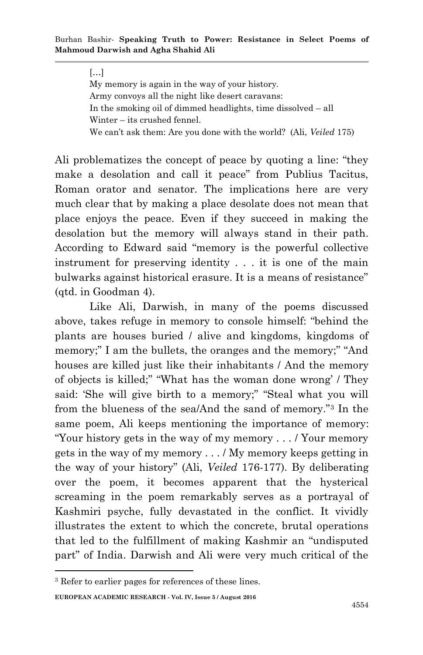## $[...]$

My memory is again in the way of your history. Army convoys all the night like desert caravans: In the smoking oil of dimmed headlights, time dissolved – all Winter – its crushed fennel. We can't ask them: Are you done with the world? (Ali, *Veiled* 175)

Ali problematizes the concept of peace by quoting a line: "they make a desolation and call it peace" from Publius Tacitus, Roman orator and senator. The implications here are very much clear that by making a place desolate does not mean that place enjoys the peace. Even if they succeed in making the desolation but the memory will always stand in their path. According to Edward said "memory is the powerful collective instrument for preserving identity . . . it is one of the main bulwarks against historical erasure. It is a means of resistance" (qtd. in Goodman 4).

Like Ali, Darwish, in many of the poems discussed above, takes refuge in memory to console himself: "behind the plants are houses buried / alive and kingdoms, kingdoms of memory;" I am the bullets, the oranges and the memory;" "And houses are killed just like their inhabitants / And the memory of objects is killed;" "What has the woman done wrong' / They said: 'She will give birth to a memory;" "Steal what you will from the blueness of the sea/And the sand of memory."<sup>3</sup> In the same poem, Ali keeps mentioning the importance of memory: ―Your history gets in the way of my memory . . . / Your memory gets in the way of my memory . . . / My memory keeps getting in the way of your history‖ (Ali, *Veiled* 176-177). By deliberating over the poem, it becomes apparent that the hysterical screaming in the poem remarkably serves as a portrayal of Kashmiri psyche, fully devastated in the conflict. It vividly illustrates the extent to which the concrete, brutal operations that led to the fulfillment of making Kashmir an "undisputed" part" of India. Darwish and Ali were very much critical of the

1

<sup>3</sup> Refer to earlier pages for references of these lines.

**EUROPEAN ACADEMIC RESEARCH - Vol. IV, Issue 5 / August 2016**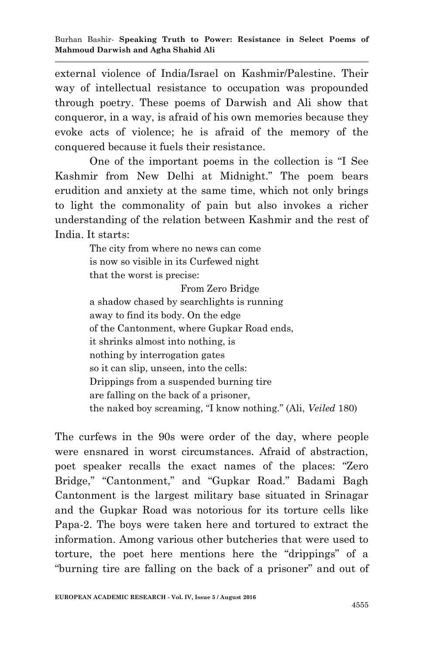external violence of India/Israel on Kashmir/Palestine. Their way of intellectual resistance to occupation was propounded through poetry. These poems of Darwish and Ali show that conqueror, in a way, is afraid of his own memories because they evoke acts of violence; he is afraid of the memory of the conquered because it fuels their resistance.

One of the important poems in the collection is "I See Kashmir from New Delhi at Midnight." The poem bears erudition and anxiety at the same time, which not only brings to light the commonality of pain but also invokes a richer understanding of the relation between Kashmir and the rest of India. It starts:

> The city from where no news can come is now so visible in its Curfewed night that the worst is precise:

 From Zero Bridge a shadow chased by searchlights is running away to find its body. On the edge of the Cantonment, where Gupkar Road ends, it shrinks almost into nothing, is nothing by interrogation gates so it can slip, unseen, into the cells: Drippings from a suspended burning tire are falling on the back of a prisoner, the naked boy screaming, "I know nothing." (Ali, *Veiled* 180)

The curfews in the 90s were order of the day, where people were ensnared in worst circumstances. Afraid of abstraction, poet speaker recalls the exact names of the places: "Zero Bridge," "Cantonment," and "Gupkar Road." Badami Bagh Cantonment is the largest military base situated in Srinagar and the Gupkar Road was notorious for its torture cells like Papa-2. The boys were taken here and tortured to extract the information. Among various other butcheries that were used to torture, the poet here mentions here the "drippings" of a "burning tire are falling on the back of a prisoner" and out of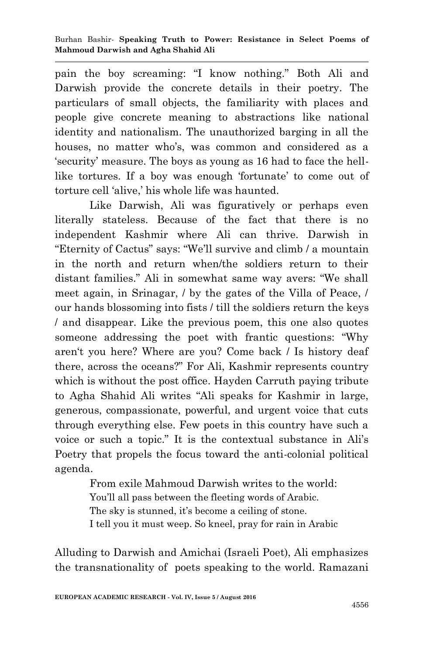pain the boy screaming: "I know nothing." Both Ali and Darwish provide the concrete details in their poetry. The particulars of small objects, the familiarity with places and people give concrete meaning to abstractions like national identity and nationalism. The unauthorized barging in all the houses, no matter who's, was common and considered as a ‗security' measure. The boys as young as 16 had to face the helllike tortures. If a boy was enough 'fortunate' to come out of torture cell ‗alive,' his whole life was haunted.

Like Darwish, Ali was figuratively or perhaps even literally stateless. Because of the fact that there is no independent Kashmir where Ali can thrive. Darwish in "Eternity of Cactus" says: "We'll survive and climb / a mountain in the north and return when/the soldiers return to their distant families." Ali in somewhat same way avers: "We shall meet again, in Srinagar, / by the gates of the Villa of Peace, / our hands blossoming into fists / till the soldiers return the keys / and disappear. Like the previous poem, this one also quotes someone addressing the poet with frantic questions: "Why" aren't you here? Where are you? Come back / Is history deaf there, across the oceans?‖ For Ali, Kashmir represents country which is without the post office. Hayden Carruth paying tribute to Agha Shahid Ali writes "Ali speaks for Kashmir in large, generous, compassionate, powerful, and urgent voice that cuts through everything else. Few poets in this country have such a voice or such a topic.‖ It is the contextual substance in Ali's Poetry that propels the focus toward the anti-colonial political agenda.

> From exile Mahmoud Darwish writes to the world: You'll all pass between the fleeting words of Arabic. The sky is stunned, it's become a ceiling of stone. I tell you it must weep. So kneel, pray for rain in Arabic

Alluding to Darwish and Amichai (Israeli Poet), Ali emphasizes the transnationality of poets speaking to the world. Ramazani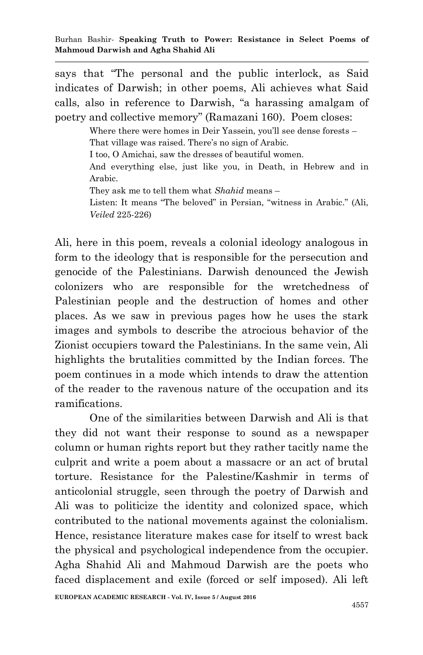says that "The personal and the public interlock, as Said indicates of Darwish; in other poems, Ali achieves what Said calls, also in reference to Darwish, "a harassing amalgam of poetry and collective memory" (Ramazani 160). Poem closes:

> Where there were homes in Deir Yassein, you'll see dense forests – That village was raised. There's no sign of Arabic. I too, O Amichai, saw the dresses of beautiful women. And everything else, just like you, in Death, in Hebrew and in Arabic. They ask me to tell them what *Shahid* means – Listen: It means "The beloved" in Persian, "witness in Arabic." (Ali, *Veiled* 225-226)

Ali, here in this poem, reveals a colonial ideology analogous in form to the ideology that is responsible for the persecution and genocide of the Palestinians. Darwish denounced the Jewish colonizers who are responsible for the wretchedness of Palestinian people and the destruction of homes and other places. As we saw in previous pages how he uses the stark images and symbols to describe the atrocious behavior of the Zionist occupiers toward the Palestinians. In the same vein, Ali highlights the brutalities committed by the Indian forces. The poem continues in a mode which intends to draw the attention of the reader to the ravenous nature of the occupation and its ramifications.

One of the similarities between Darwish and Ali is that they did not want their response to sound as a newspaper column or human rights report but they rather tacitly name the culprit and write a poem about a massacre or an act of brutal torture. Resistance for the Palestine/Kashmir in terms of anticolonial struggle, seen through the poetry of Darwish and Ali was to politicize the identity and colonized space, which contributed to the national movements against the colonialism. Hence, resistance literature makes case for itself to wrest back the physical and psychological independence from the occupier. Agha Shahid Ali and Mahmoud Darwish are the poets who faced displacement and exile (forced or self imposed). Ali left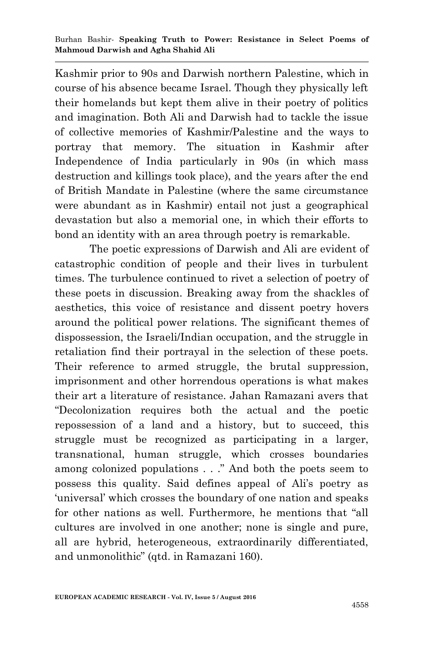Kashmir prior to 90s and Darwish northern Palestine, which in course of his absence became Israel. Though they physically left their homelands but kept them alive in their poetry of politics and imagination. Both Ali and Darwish had to tackle the issue of collective memories of Kashmir/Palestine and the ways to portray that memory. The situation in Kashmir after Independence of India particularly in 90s (in which mass destruction and killings took place), and the years after the end of British Mandate in Palestine (where the same circumstance were abundant as in Kashmir) entail not just a geographical devastation but also a memorial one, in which their efforts to bond an identity with an area through poetry is remarkable.

The poetic expressions of Darwish and Ali are evident of catastrophic condition of people and their lives in turbulent times. The turbulence continued to rivet a selection of poetry of these poets in discussion. Breaking away from the shackles of aesthetics, this voice of resistance and dissent poetry hovers around the political power relations. The significant themes of dispossession, the Israeli/Indian occupation, and the struggle in retaliation find their portrayal in the selection of these poets. Their reference to armed struggle, the brutal suppression, imprisonment and other horrendous operations is what makes their art a literature of resistance. Jahan Ramazani avers that ―Decolonization requires both the actual and the poetic repossession of a land and a history, but to succeed, this struggle must be recognized as participating in a larger, transnational, human struggle, which crosses boundaries among colonized populations . . ." And both the poets seem to possess this quality. Said defines appeal of Ali's poetry as ‗universal' which crosses the boundary of one nation and speaks for other nations as well. Furthermore, he mentions that "all cultures are involved in one another; none is single and pure, all are hybrid, heterogeneous, extraordinarily differentiated, and unmonolithic" (qtd. in Ramazani 160).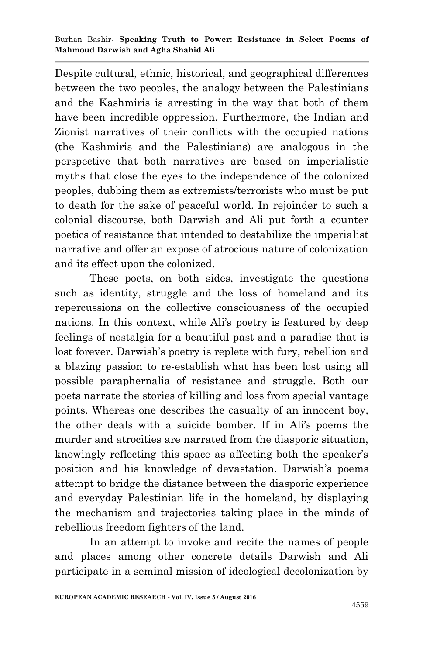Despite cultural, ethnic, historical, and geographical differences between the two peoples, the analogy between the Palestinians and the Kashmiris is arresting in the way that both of them have been incredible oppression. Furthermore, the Indian and Zionist narratives of their conflicts with the occupied nations (the Kashmiris and the Palestinians) are analogous in the perspective that both narratives are based on imperialistic myths that close the eyes to the independence of the colonized peoples, dubbing them as extremists/terrorists who must be put to death for the sake of peaceful world. In rejoinder to such a colonial discourse, both Darwish and Ali put forth a counter poetics of resistance that intended to destabilize the imperialist narrative and offer an expose of atrocious nature of colonization and its effect upon the colonized.

These poets, on both sides, investigate the questions such as identity, struggle and the loss of homeland and its repercussions on the collective consciousness of the occupied nations. In this context, while Ali's poetry is featured by deep feelings of nostalgia for a beautiful past and a paradise that is lost forever. Darwish's poetry is replete with fury, rebellion and a blazing passion to re-establish what has been lost using all possible paraphernalia of resistance and struggle. Both our poets narrate the stories of killing and loss from special vantage points. Whereas one describes the casualty of an innocent boy, the other deals with a suicide bomber. If in Ali's poems the murder and atrocities are narrated from the diasporic situation, knowingly reflecting this space as affecting both the speaker's position and his knowledge of devastation. Darwish's poems attempt to bridge the distance between the diasporic experience and everyday Palestinian life in the homeland, by displaying the mechanism and trajectories taking place in the minds of rebellious freedom fighters of the land.

In an attempt to invoke and recite the names of people and places among other concrete details Darwish and Ali participate in a seminal mission of ideological decolonization by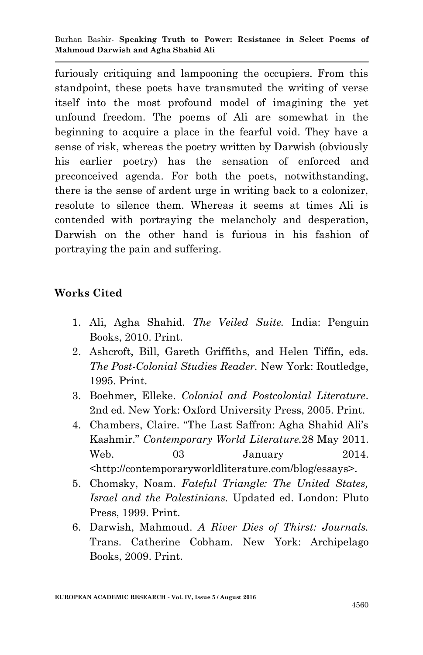furiously critiquing and lampooning the occupiers. From this standpoint, these poets have transmuted the writing of verse itself into the most profound model of imagining the yet unfound freedom. The poems of Ali are somewhat in the beginning to acquire a place in the fearful void. They have a sense of risk, whereas the poetry written by Darwish (obviously his earlier poetry) has the sensation of enforced and preconceived agenda. For both the poets, notwithstanding, there is the sense of ardent urge in writing back to a colonizer, resolute to silence them. Whereas it seems at times Ali is contended with portraying the melancholy and desperation, Darwish on the other hand is furious in his fashion of portraying the pain and suffering.

## **Works Cited**

- 1. Ali, Agha Shahid. *The Veiled Suite.* India: Penguin Books, 2010. Print.
- 2. Ashcroft, Bill, Gareth Griffiths, and Helen Tiffin, eds. *The Post-Colonial Studies Reader.* New York: Routledge, 1995. Print*.*
- 3. Boehmer, Elleke. *Colonial and Postcolonial Literature*. 2nd ed. New York: Oxford University Press, 2005. Print.
- 4. Chambers, Claire. "The Last Saffron: Agha Shahid Ali's Kashmir.‖ *Contemporary World Literature.*28 May 2011. Web. 03 January 2014. <http://contemporaryworldliterature.com/blog/essays>.
- 5. Chomsky, Noam. *Fateful Triangle: The United States, Israel and the Palestinians.* Updated ed. London: Pluto Press, 1999. Print.
- 6. Darwish, Mahmoud. *A River Dies of Thirst: Journals.* Trans. Catherine Cobham. New York: Archipelago Books, 2009. Print.